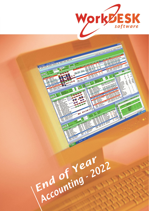

 $\mathbb{R}$   $\mathbb{C}$ Year End User Notes - Accounting

 $\mathcal{L}(\mathcal{D})$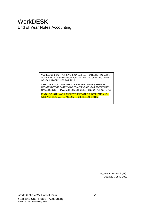## WorkDESK End of Year Notes Accounting

YOU REQUIRE SOFTWARE VERSION 12.5103+ or HIGHER TO SUBMIT YOUR FINAL STP SUBMISSION FOR 2022 AND TO CARRY OUT END OF YEAR PROCEDURES FOR 2022.

CHECK THE WORKDESK WEBSITE FOR THE LATEST SOFTWARE UPDATES BEFORE CARRYING OUT ANY END OF YEAR PROCEDURES (INCLUDING STP FINAL SUBMISSION, CLIENT END OF PERIOD, ETC).

IF YOU DO NOT HAVE A CURRENT SOFTWARE SUBSCRIPTION YOU WILL NOT BE GRANTED ACCESS TO CRITICAL UPDATES.

> Document Version 22/001 Updated 7 June 2022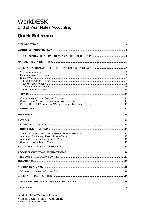## **Quick Reference**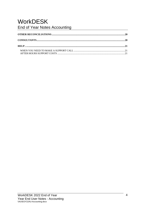## **WorkDESK** End of Year Notes Accounting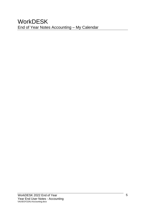## **WorkDESK** End of Year Notes Accounting – My Calendar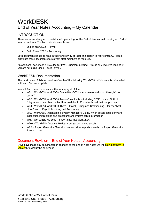## WorkDESK End of Year Notes Accounting – My Calendar

## <span id="page-5-0"></span>INTRODUCTION

These notes are designed to assist you in preparing for the End of Year as well carrying out End of Year procedures. The two main documents are

- End of Year 2022 Payroll
- End of Year 2022 Accounting

Both documents must be read in their entirety by at least one person in your company. Please distribute these documents to relevant staff members as required.

An additional document is provided for PAYG Summary printing – this is only required reading if you are not using Single Touch Payroll.

## <span id="page-5-1"></span>WorkDESK Documentation

The most recent Published version of each of the following WorkDESK pdf documents is included with each Software Update.

You will find these documents in the tempsys\help folder:

- WB1 WorkDESK WorkBOOK One WorkDESK starts here walks you through "the basics"
- WB2 WorkDESK WorkBOOK Two Consultants including DESKtops and Outlook Integration – describes the facilities available to Consultants and their support staff
- WB3 WorkDESK WorkBOOK Three Payroll, Billing and Bookkeeping for the "back office" staff – Payroll, Invoicing and Accounting
- SMG WorkDESK Installation & System Manager's Guide, which details initial software installation instructions plus procedural and system setup information
- WFL WorkDESK File Load import data into WorkDESK
- WDW WorkDESK DocumentWriter design document layouts
- WRG Report Generator Manual create custom reports needs the Report Generator licence to use

### <span id="page-5-2"></span>Document Revision – End of Year Notes - Accounting

If we have made any documentation changes to the End of Year Notes we will highlight them in yellow throughout the document.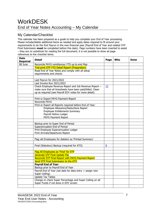## WorkDESK End of Year Notes Accounting – My Calendar

## <span id="page-6-0"></span>My Calendar/Checklist

This calendar has been prepared as a guide to help you complete your End of Year processing. Please include/delete additional items as needed and apply dates required to fit around your requirements to do the first Payrun in the new financial year (Payroll End of Year and related STP Final Submission **must** be completed before this date). Page numbers have been inserted to assist – they are no substitute for reading the full document; it is not possible to show all page references to the checklist items.

| <b>Date</b><br><b>Required</b> | <b>Detail</b>                                                                                                                                                                  | Page | Who | <b>Done</b> |  |
|--------------------------------|--------------------------------------------------------------------------------------------------------------------------------------------------------------------------------|------|-----|-------------|--|
| 08 June                        | Reconcile PAYG remittances YTD up to end May                                                                                                                                   |      |     |             |  |
|                                | Trial print STP YTD Detail Report (Preparation)                                                                                                                                |      |     |             |  |
|                                | Read End of Year Notes and comply with all setup                                                                                                                               |      |     |             |  |
|                                | requirements and checks                                                                                                                                                        |      |     |             |  |
|                                |                                                                                                                                                                                |      |     |             |  |
|                                | Last Payrun for 2021/2022                                                                                                                                                      |      |     |             |  |
|                                | Last Invoice Run 2021/2022                                                                                                                                                     |      |     |             |  |
|                                | Check Employee Revenue Report and Job Revenue Report -<br>make sure that all timesheets have been paid/billed. Clean<br>up as required (see Payroll EOY notes for more detail) | 13   |     |             |  |
|                                |                                                                                                                                                                                |      |     |             |  |
|                                | Print or Export PAYG Payment Report                                                                                                                                            |      |     |             |  |
|                                | Reconcile PAYG                                                                                                                                                                 |      |     |             |  |
|                                | Print or Export all Reports required before End of Year:                                                                                                                       |      |     |             |  |
|                                | Employee Allowance/Deductions Report<br><b>Employee Entitlements Summary</b><br>Payroll History Ledger<br>PAYG Payment Report                                                  |      |     |             |  |
|                                |                                                                                                                                                                                |      |     |             |  |
|                                | Backup prior to Super End of Period                                                                                                                                            |      |     |             |  |
|                                | Superannuation End of Period                                                                                                                                                   |      |     |             |  |
|                                | Print Employee Superannuation Ledger<br>Print Arrivals/Departures Report                                                                                                       |      |     |             |  |
|                                |                                                                                                                                                                                |      |     |             |  |
|                                | Flag old Employees for deletion as 'Printed Summary'                                                                                                                           |      |     |             |  |
|                                | Final (Statutory) Backup (required for ATO)                                                                                                                                    | 9    |     |             |  |
|                                |                                                                                                                                                                                |      |     |             |  |
|                                | Flag All Employees as 'Final' for STP                                                                                                                                          |      |     |             |  |
|                                | <b>Generate STP Final Update File</b>                                                                                                                                          |      |     |             |  |
|                                | Reconcile STP Final Report with PAYG Payment Report                                                                                                                            |      |     |             |  |
|                                | Send STP Final Submission to the ATO                                                                                                                                           |      |     |             |  |
|                                | <b>Payroll End of Year</b>                                                                                                                                                     |      |     |             |  |
|                                | Backup prior to Payroll End of Year                                                                                                                                            |      |     |             |  |
|                                | Payroll End of Year (set date for data entry + assign new<br>Super Ceiling)                                                                                                    |      |     |             |  |
|                                | <b>Update Tax Tables</b>                                                                                                                                                       |      |     |             |  |
|                                | Change or check Super Percentage and Super Ceiling on all<br>Super Funds if not done in EOY screen                                                                             |      |     |             |  |
|                                |                                                                                                                                                                                |      |     |             |  |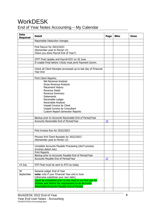## **WorkDESK** End of Year Notes Accounting – My Calendar

| <b>Date</b><br><b>Required</b> | <b>Detail</b>                                                               | Page | Who | Done |
|--------------------------------|-----------------------------------------------------------------------------|------|-----|------|
|                                | Reportable Deduction changes                                                |      |     |      |
|                                |                                                                             |      |     |      |
|                                | First Payrun for 2022/2023                                                  |      |     |      |
|                                | (Remember post to Period 13)                                                |      |     |      |
|                                | (Have you done Payroll End of Year?)                                        |      |     |      |
|                                | STP? Final Update and Payroll EOY on 30 June                                |      |     |      |
|                                | If unable Final before 14July must print Payment Summ.                      |      |     |      |
|                                |                                                                             |      |     |      |
|                                | Check all Client Receipts processed up to last day of Financial<br>Year End |      |     |      |
|                                |                                                                             |      |     |      |
|                                | Print Client Reports:                                                       |      |     |      |
|                                | Net Revenue Analysis                                                        |      |     |      |
|                                | <b>Gross Revenue Analysis</b><br>Placement History                          |      |     |      |
|                                | Revenue Detail                                                              |      |     |      |
|                                | Revenue Summary                                                             |      |     |      |
|                                | <b>Statements</b>                                                           |      |     |      |
|                                | Receivable Ledger                                                           |      |     |      |
|                                | Receivable Analysis                                                         |      |     |      |
|                                | Unpaid Invoice by Client                                                    |      |     |      |
|                                | Unpaid Invoice by Consultant<br><b>Custom Report Generator Reports</b>      |      |     |      |
|                                |                                                                             |      |     |      |
|                                | Backup prior to Accounts Receivable End of Period/Year                      |      |     |      |
|                                | Accounts Receivable End of Period/Year                                      | 15   |     |      |
|                                |                                                                             |      |     |      |
|                                |                                                                             |      |     |      |
|                                | First Invoice Run for 2022/2023                                             |      |     |      |
|                                |                                                                             |      |     |      |
|                                | Process first Client Receipts for 2022/2023                                 |      |     |      |
|                                | (Remember post to Period 13)                                                |      |     |      |
|                                | Complete Accounts Payable Processing (don't process                         |      |     |      |
|                                | Invoices dated July)                                                        |      |     |      |
|                                | <b>Print Reports</b>                                                        |      |     |      |
|                                | Backup prior to Accounts Payable End of Period/Year                         |      |     |      |
|                                | Accounts Payable End of Period/Year                                         | 17   |     |      |
| 14 July                        |                                                                             |      |     |      |
|                                | STP Final must be sent to ATO by today                                      |      |     |      |
| 30                             | General Ledger End of Year                                                  |      |     |      |
| September                      | note: only if your Financial Year end is June                               |      |     |      |
|                                | [otherwise substitute your own date]                                        |      |     |      |
|                                | (must be completed prior to the need to run first pay for                   |      |     |      |
|                                | October and before the requirement to do Accounts                           |      |     |      |
|                                | Receivable/Accounts Payable End of Period)                                  |      |     |      |
|                                |                                                                             |      |     |      |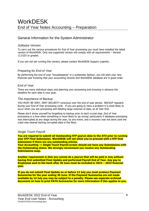### <span id="page-8-0"></span>General Information for the System Administrator

#### <span id="page-8-1"></span>*Software Version*

To carry out the various procedures for End of Year processing you must have installed the latest version of WorkDESK. Only one supported version will comply with all requirements – Version 12.5103 or greater.

If you are not yet running this version, please contact WorkDESK Support urgently.

#### <span id="page-8-2"></span>*Preparing for End of Year*

By performing the end of year "housekeeping" in a systematic fashion, you will start your new financial year knowing that your accounting records and WorkDESK database are in good order.

#### <span id="page-8-3"></span>*End of Year*

There are many individual steps and planning your processing and knowing in advance the deadline for each step is your goal.

#### <span id="page-8-4"></span>*The importance of Backup*

YOU MUST BE VERY, VERY SECURITY conscious over the end of year period. BACKUP regularly during your End of Year processing cycle. If you are going to have a problem it is most likely to occur when you are processing and deleting large volumes of data, as at Year End.

Please don't stress yourself by forgetting to backup prior to each crucial step. End of Year processing is a time when something is more likely to 'go wrong' particularly if database processing was interrupted at any stage during the year, by any event, and a recovery was not done (and the crash was cleared leaving corrupted data in the files).

#### <span id="page-8-5"></span>Single Touch Payroll

**You are required to submit all Outstanding STP payrun data to the ATO prior to running your STP Final Submission. WorkDESK will not allow you to proceed with a STP final submission if there are any outstanding entries.**

**Your Accounting -> Single Touch Payroll screen should not have any Submissions with the Outstanding status. We strongly recommend you resolve any Outstanding Submissions asap.**

**Another requirement is that you cannot do a payrun that will be paid in July without having first submitted Final Update and performed Payroll End of Year. Any pay to Employees sent to the bank after 30 June must be included in 2022 – 2023 financial year.**

**If you do not submit Final Update on or before 14 July you must produce Payment Summaries for the year ending 30 June. If the Payment Summaries are not made available by 14 July you may be subject to a penalty. Please see separate archived document on how to print PAYG Summaries for more information if this applies to you.**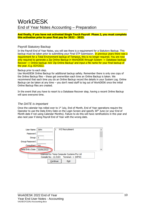#### **And finally, if you have not activated Single Touch Payroll Phase 2, you must complete this activation prior to your first pay for 2022 - 2023.**

### <span id="page-9-0"></span>Payroll Statutory Backup

In the Payroll End of Year Notes, you will see there is a requirement for a Statutory Backup. This backup must be taken prior to submitting your Final STP Submission. In previous years there was a requirement for a Total Environment backup of Tempsys, this is no longer required. You are now only required to generate a Zip Online Backup in WorkDESK through System -> Database backup/ Recover -> Online backup: tick 'Zip Online Backup' and input a file name for your final backup of the year. E.g. EOY2022.

#### Backup prior to each step.

Use WorkDESK Online Backup for additional backup safety. Remember there is only one copy of the Online Backup files – these get overwritten each time an Online Backup is taken. We recommend that each time you do an Online Backup record the details in your System Log. Online Backup can be taken at any time – you don't need staff to log out of WorkDESK once the initial Online Backup files are created.

In the event that you have to resort to a Database Recover step, having a recent Online Backup will save everyone time.

#### <span id="page-9-1"></span>*The DATE is important*

Once the calendar has rolled over to 1<sup>st</sup> July, End of Month, End of Year operations require the Operator to use the Data Entry Date on the Login Screen and specify 30<sup>th</sup> June (or your End of Month date if not using Calendar Months). Failure to do this will have ramifications in this year and also next year if doing Payroll End of Year with the wrong date.

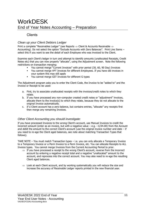### **Clients**

### <span id="page-10-1"></span><span id="page-10-0"></span>*Clean up your Client Debtors Ledger*

Print a complete "Receivables Ledger" (see Reports  $\Rightarrow$  Client & Accounts Receivable  $\Rightarrow$ Accounting). Do not select the option "Exclude Accounts with Zero Balances". Print Line Items select this if you want to see the detail of each Employee who was invoiced to the Client.

Examine each Client's ledger in turn and attempt to identify amounts (unallocated Receipts, Credit Notes etc) that you can now properly "allocate", using the Adjustment screen. Note the following restrictions on transaction merging:

- You cannot merge "Current Invoices" with prior period (30, 60, 90 Day) Invoices
- You cannot merge VPT Invoices for different Employees. If you have old invoices in your system this may still apply
- You cannot merge GST Invoices for different G types

The Adjustment program asks you to enter the Client Code, the Invoice to be "added to" and the Invoice or Receipt to be used:

- a. First, try to associate unallocated receipts with the invoices/credit notes to which they relate.
- b. If you have processed any non-computer created credit notes or "adjustment" invoices, allocate them to the invoice(s) to which they relate, because they do not allocate to the original Invoice automatically.
- c. If a Client account has a zero balance, but contains entries, "allocate" any receipts first then merge any remaining Invoices.

### <span id="page-10-2"></span>*Other Client Accounting you should investigate:*

If you have processed Invoices to the wrong Client's account, use Manual Invoices to credit the incorrect amount (enter as an invoice, but with a negative value – e.g. –1234.00) from the Account and debit the amount to the correct Client's account (use the original invoice number and date  $-$  if you need to re-age the Client aged balances, see note about matching Transaction Types that follows).

TAKE NOTE – You must match Transaction types – i.e. you can only allocate a Temporary Invoice to a Temporary Invoice or a Perm Invoice to a Perm Invoice, etc. You can allocate Receipts to ALL Invoice types. You cannot merge Invoices from the Current Accounting Period to prior.

- $\Rightarrow$  If you have processed a receipt to the wrong Client's account, reverse from the incorrect account by entering a negative receipt total and a negative "unallocated" amount to the account, and reprocess into the correct account. You may also need to re-age the resulting Client aged balances.
- $\Rightarrow$  Look at each Client account, and by working systematically you will reduce the size and increase the accuracy of Receivable Ledger reports printed in the new financial year.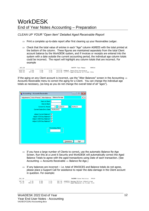### <span id="page-11-0"></span>*CLEAN UP YOUR "Open Item" Detailed Aged Receivable Report*

- $\Rightarrow$  Print a complete up-to-date report after first cleaning up your Receivables Ledger.
- $\Rightarrow$  Check that the total value of entries in each "Age" column AGREES with the total printed at the bottom of the column. These figures are maintained separately from the total Client account balance by the WorkDESK system, and if invoices or receipts are entered into the system with a date outside the current accounting period, the individual age column totals could be incorrect. The report will highlight any column totals that are incorrect. For example

| 927.09             |                |              |              |  | DAVITT Jane Tanva                                                                   | 980016 |
|--------------------|----------------|--------------|--------------|--|-------------------------------------------------------------------------------------|--------|
| 4518.09<br>3591.00 | n nn<br>927.09 | n nn<br>0.00 | 0.00<br>0.00 |  | 4518.09 DERDAV David Kim Derrington<br>4518.09 <<***** Aged Balances in Client file |        |

If the aging on any Client account is incorrect, use the "Alter Balances" screen in the Accounting  $\Rightarrow$ Accounts Receivable menu to correct the aging for a Client. You can change the individual age totals as necessary, (as long as you do not change the overall total of all "ages").

| <b>Accounting - Accounts Receivable</b>                                                                                                                                                                    | 回<br>---               |
|------------------------------------------------------------------------------------------------------------------------------------------------------------------------------------------------------------|------------------------|
| <b>Balance Re-Age</b><br>Adjustments   End of Period   Alter Balances                                                                                                                                      | $\left  \cdot \right $ |
| Start at Client   <br><b>End at Client</b><br>01/06/22<br>$12 \mid$<br><b>Current GL Period</b><br>to.<br>30/06/2022<br>Current Data Entry Date<br>Adjust Current Balance?  <br>Adjust 7/30 Day Balance? V | 30/06/22               |
| Adjust 14/60 Day Balance?<br>Adjust 21/90 Day Balance?<br><b>Processing Client</b>                                                                                                                         |                        |
| Commence                                                                                                                                                                                                   | Exit                   |

- $\Rightarrow$  If you have a large number of Clients to correct, use the automatic Balance Re-Age Screen. Run this at a Level 6 Security and WorkDESK will automatically correct the Aged Balance Totals to agree with the aged transactions using Date of each transaction. (See Accounting  $\Rightarrow$  Accounts Receivable  $\Rightarrow$  Balance Re-Age.)
- $\Rightarrow$  If any balances are incorrect i.e. total of INVOICES and Balance totals do not agree, please place a Support Call for assistance to repair the data damage in the Client account in question. For example:

| 582.00 |        |      |      | BAINES Lisa Patricia<br>99028               |
|--------|--------|------|------|---------------------------------------------|
| 582.00 | n nn   | n nn | 0.00 | 582.00 GEOHILL George Hillier Advertising   |
| 10.20  | 582.00 | 0.00 | 0.00 | 592.20 <<***** Aged Balances in Client file |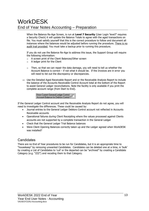When the Balance Re-Age Screen, is run at **Level 7 Security** (User Login 'level7' requires a Security Check) it will update the Balance Totals to agree with the aged transactions on file. You must satisfy yourself that this is the correct procedure to follow and document all instances where the balances would be adjusted before running the procedure. There is no audit trail provided. You must take a backup prior to running this procedure.

If you do not use the Balance Re-Age to address this issue, the Support Group will require the following information:

- o A screen print of the Client Balances/Other screen
- o A ledger print for the Client
- $\circ$  Then, so that we can repair the data damage, you will need to tell us whether the Account Balance is correct – if not what it should be. If the Invoices are in error you will need to list out the discrepancy or discrepancies.
- $\Rightarrow$  Use the Detailed Aged Receivable Report and or the Receivable Analysis Report to include the balance of the Accounts Receivable Control Account total at the bottom of the Report to assist General Ledger reconciliations. Note the facility is only available if you print the complete account range (from Start to End).

Show Current General Ledger Control Show Current General Ledger Control<br>Account Balance for Debtors Control ?

If the General Ledger Control account and the Receivable Analysis Report do not agree, you will need to investigate the differences. These could be caused by:

- Journal entries to the General Ledger Debtors Control account not reflected in Accounts Receivable accounts
- Operational failures during Client Receipting where the values processed against Clients accounts are not supported by a complete transaction in the General Ledger
- Check that the General Ledger Trial Balance balances
- Were Client Opening Balances correctly taken up and the Ledger agreed when WorkDESK was installed?

### <span id="page-12-0"></span>**Candidates**

There are no End of Year procedures to be run for Candidates, but it is an appropriate time to "housekeep" by removing unwanted Candidates. Candidates can be deleted one at a time, in 'bulk' by creating a List of Candidates to 'cull' or the departed can be "archived" by creating a Candidate Category (e.g. "ZZZ") and recoding them to that Category.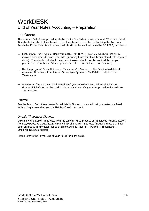### <span id="page-13-0"></span>Job Orders

There are no End of Year procedures to be run for Job Orders, however you MUST ensure that all Timesheets that should have been invoiced have been invoiced before finalising the Accounts Receivable End of Year. Any timesheets which will not be invoiced should be DELETED, as follows:

- $\Rightarrow$  First, print a "Job Revenue" Report from 01/01/1901 to 31/12/2025, which will list all uninvoiced Timesheets for each Job Order (including those that have been entered with incorrect dates). Timesheets that should have been invoiced should now be invoiced, before you proceed further with your "clean up" (see Reports  $\Rightarrow$  Job Orders  $\Rightarrow$  Job Revenue).
- $\Rightarrow$  Use the program "Delete Uninvoiced Timesheets" in System  $\Rightarrow$  File Deletion to delete all unwanted Timesheets from the Job Orders (see System  $\Rightarrow$  File Deletion  $\Rightarrow$  Uninvoiced Timesheets).
- $\Rightarrow$  When using "Delete Uninvoiced Timesheets" you can either select individual Job Orders, Groups of Job Orders or the total Job Order database. Only run this procedure immediately after BACKUP.

## <span id="page-13-1"></span>Payroll

See the Payroll End of Year Notes for full details. It is recommended that you make sure PAYG Withholding is reconciled and the Net Pay Clearing Account.

### <span id="page-13-2"></span>*Unpaid Timesheet Cleanup*

Delete any unpayable Timesheets from the system. First, produce an "Employee Revenue Report" from 01/01/1901 to 31/12/2025, which will list all unpaid Timesheets (including those that have been entered with silly dates) for each Employee (see Reports  $\Rightarrow$  Payroll  $\Rightarrow$  Timesheets  $\Rightarrow$ Employee Revenue Report).

Please refer to the Payroll End of Year Notes for more detail.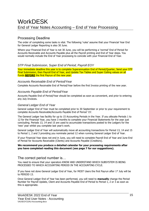## <span id="page-14-0"></span>Processing Deadline

The order of completing some tasks is vital. The following 'rules' assume that your Financial Year End for General Ledger Reporting is also 30 June.

Where your Financial End of Year is not 30 June, you will be performing a 'normal' End of Period for Accounts Receivable and Accounts Payable plus all the Payroll printing and End of Year steps. You would normally include the End of Year processing to coincide with your Financial End of Year.

### <span id="page-14-1"></span>*STP Final Submission, Super End of Period, Payroll EOY*

Your immediate deadline this year is to complete Superannuation End of Period/Quarter, Send your STP Final Submission, then Payroll End of Year, and Update Tax Tables and Super Ceiling values on all Funds **BEFORE** the first Payrun of the new year.

#### <span id="page-14-2"></span>*Accounts Receivable End of Period/Year*

<span id="page-14-3"></span>Complete Accounts Receivable End of Period/Year before the first Invoice printing of the new year.

#### *Accounts Payable End of Period/Year*

Accounts Payable End of Period/Year should be completed as soon as convenient, and prior to entering any July Invoices.

#### <span id="page-14-4"></span>*General Ledger End of Year*

General Ledger End of Year must be completed prior to 30 September or prior to your requirement to complete Accounts Receivable/Accounts Payable End of Period '15'.

The General Ledger has facility for up to 15 Accounting Periods in the Year. If you allocate Periods 1 to 12 for the Financial Year, you have 3 months to complete your Financial Statements for the year just concluding. Periods 13, 14 and 15 are used to accumulate transactions posted to the Ledgers for the 'new' year whilst you complete last year's work.

General Ledger End of Year will automatically move all accounting transactions for Period 13, 14 and 15 to Period 1, 2 and 3 providing you nominate period 12 when running General Ledger End of Year.

If your Financial Year does not end in June, you will need to complete Payroll End of Year and June End of Period for Accounts Receivable (Clients) and Accounts Payable (Creditors).

#### **We recommend you produce a detailed calendar for your processing requirements after you have completed reading this document (see page [7](#page-6-0) for our suggestions).**

#### <span id="page-14-5"></span>The correct period number is…

You need to ensure that your operators KNOW AND UNDERSTAND WHICH SUBSYSTEM IS BEING PROCESSED TO WHICH ACCOUNTING PERIOD IN THE ACCOUNTING CYCLE.

If you have not done General Ledger End of Year, for MOST Users the first Payrun after  $1<sup>st</sup>$  July will be to PERIOD 13.

<span id="page-14-6"></span>Once General Ledger End of Year has been performed, you will need to **manually** change the Period Number for Payroll Update, Client and Accounts Payable End of Period to Period 1, 2 or 3 as soon as this is appropriate.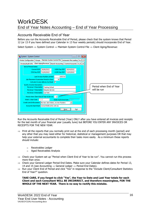### <span id="page-15-0"></span>Accounts Receivable End of Year

Before you run the Accounts Receivable End of Period, please check that the system knows that Period 12 (or 13 if you have defined your Calendar in 13 four weekly periods) should incorporate End of Year.

Select System  $\Rightarrow$  System Control  $\Rightarrow$  Maintain System Control File  $\Rightarrow$  Client Aging/Revenue:



Run the Accounts Receivable End of Period (Year) ONLY after you have entered all invoices and receipts for the last month of your financial year (usually June) but BEFORE YOU ENTER ANY INVOICES OR RECEIPTS FOR THE NEW YEAR:

- $\Rightarrow$  Print all the reports that you normally print out at the end of each processing month (period) and any other that you may need either for historical, statistical or management purposes OR that may help your external accountants to complete their tasks more easily. As a minimum these reports should include:
	- o Receivables Ledger
	- o Aged Receivables Analysis
- $\Rightarrow$  Check your System set up "Period when Client End of Year to be run". You cannot run this process more than once.
- $\Rightarrow$  Check your General Ledger Period End Dates. Make sure your Calendar defines dates for Period 13, 14 and 15 (see Accounting  $\Rightarrow$  General Ledger  $\Rightarrow$  Period End Dates).
- $\Rightarrow$  Run your Client End of Period and click "Yes" in response to the "Include Client/Consultant Statistics End of Year?" question.

**TAKE CARE, if you forget to click "Yes", the Year to Date and Last Year totals for each Client and each Consultant WILL BE INCORRECT, and therefore meaningless, FOR THE WHOLE OF THE NEXT YEAR. There is no way to rectify this mistake.**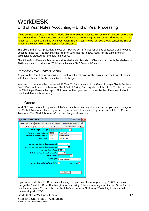If you are not prompted with the "Include Client/Consultant Statistics End of Year?" question before you are prompted with "Commence End of Period" and you are running the End of Period for Period 12, and Period 12 has been defined as when your Client End of Year is to be run, you should cancel the End of Period and contact WorkDESK Support for assistance.

The Client End of Year procedure moves all YEAR TO DATE figures for Client, Consultant, and Revenue Codes to "Last Year". It then sets the "Year to Date" figures to zero, ready for the system to start accumulating statistics for the new financial year.

Check the Gross Revenue Analysis report located under Reports  $\Rightarrow$  Clients and Accounts Receivables  $\Rightarrow$ Statistical menu to make sure "This Year's Revenue" is 0.00 for all Clients.

#### <span id="page-16-0"></span>*Reconcile Trade Debtors Control*

As part of the Year End operations, it is usual to balance/reconcile the accounts in the General Ledger with the contents of the Accounts Receivable Ledger.

You need to check whether the period 12 Year-To-Date balance of the General Ledger "Trade Debtors Control" account, after you have run Client End of Period/Year, equals the total of the Total column on the Client Aged Receivables report. If it does not then you need to reconcile the difference (find out how the difference is made up).

### <span id="page-16-1"></span>Job Orders

WorkDESK can automatically create Job Order numbers, starting at a number that you enter/change on the Control Accounts Tab (see System  $\Rightarrow$  System Control  $\Rightarrow$  Maintain System Control Files  $\Rightarrow$  Control Accounts). The "Next Job Number" may be changed at any time.

| 冋<br>System - System Control<br>$\Box$                                                         |                       |                              |  |  |  |
|------------------------------------------------------------------------------------------------|-----------------------|------------------------------|--|--|--|
| Printer Configuration   Groups   Maintain System Control File<br>Automatic File Loading   In 1 |                       |                              |  |  |  |
| Invoice/Audit Info   Client Aging/Revenue   Branch Accounting                                  |                       | Control Accounts   Cc 1      |  |  |  |
| General Ledger Code Type                                                                       | Default (###.##)      |                              |  |  |  |
| Accounts Pavable Control A/c                                                                   | 755.00                | <b>Trade Creditors</b>       |  |  |  |
| Accounts Receivable Control A/c                                                                | 710.00                | <b>Trade Debtors</b>         |  |  |  |
| Bank Account 700.00                                                                            |                       | Cash at Bank                 |  |  |  |
|                                                                                                |                       |                              |  |  |  |
| Next Job Order Number (if autonumbering)                                                       |                       | 395                          |  |  |  |
| Next Perm Job Order Number (if autonumbering)                                                  |                       | 58                           |  |  |  |
|                                                                                                | Job Order Number Mask | 23/0001                      |  |  |  |
| Default Job Order Oncost/Overhead %                                                            |                       | 19.00                        |  |  |  |
|                                                                                                | <b>System Version</b> | Australia                    |  |  |  |
|                                                                                                | System Type           | Single Site System<br>▼      |  |  |  |
| Maximum Number of Work Roster Shifts                                                           |                       | 4<br>Job Network             |  |  |  |
|                                                                                                |                       | Exit<br><u>___Save</u> _____ |  |  |  |

If you wish to identify Job Orders as belonging to a particular financial year (e.g. 23/0001) you can change the "Next Job Order Number (if auto-numbering)", before entering your first Job Order for the new financial year). You can also use the Job Order Number Mask (e.g. 23/####) to number all Jobs commencing with '23/'.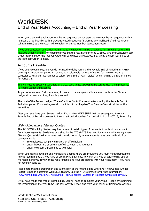When you change the Job Order numbering sequence do not start the new numbering sequence with a number that will conflict with a previously used sequence (if there is any likelihood of old Job Orders still remaining) as the system will complain when Job Number duplications occur.

If you use Consultant Job Order Pre-fix (up to 4 characters) make allowance for this when setting the next Job Order Number. For example if you set the next number to be 2318001 and the Consultant Job Order Prefix is MKW, the first Job Order will be created as MKW0001 i.e. taking the last four digits of the Next Job Order Number.

### <span id="page-17-0"></span>Accounts Payable

If you use Accounts Payable you do not need to delay running the Payable End of Period until AFTER entering all invoices for period 12, as you can selectively run End of Period for Invoices within a particular date range. Remember to select "Zero End of Year Totals?" when running the End of Period for Period 12.

You will need to specify a start date or 01/01/1901 to 31/12/2025 to be sure to clear all unprocessed Purchase Ledger transactions.

As part of other Year End operations, it is usual to balance/reconcile some accounts in the General Ledger at or near statutory/financial year end:

The total of the General Ledger "Trade Creditors Control" account after running the Payable End of Period for period 12 should agree with the total of the "Payable Trial Balance" report printed at the same time.

After you have done your General Ledger End of Year MAKE SURE that the subsequent Accounts Payable End of Period processes to the correct period number (i.e. period 1, 2 or 3 NOT 13, 14 or 15).

#### <span id="page-17-1"></span>*Withholding where ABN not Quoted*

The PAYG Withholding System requires payers of certain types of payments to withhold an amount from those payments. Guidelines published by the ATO (PAYG Payment Summary – Withholding where ABN not Quoted Guidelines) states that they do not apply where amounts have been withheld from payments made:

- ❖ To employees, company directors or office holders;
- ❖ Under labour hire or other specified payment arrangements;
- ❖ Under voluntary agreements to withhold;

When you make a payment and withholding applies, there are provisions you must meet (Remittance Advice requirements). If you have or are making payments to which this type of Withholding applies, we recommend you review these requirements and your procedures with your Accountant if you have not recently done so.

Please note that the preparation and submission of the "Withholding where ABN not Quoted Annual Report" is not an automatic WorkDESK feature. See the ATO reference for further information: PAYG withholding where ABN not quoted – [annual report | Australian Taxation Office \(ato.gov.au\).](https://www.ato.gov.au/Forms/PAYG-withholding-where-ABN-not-quoted---annual-report/)

If you have made this type of Withholding, you will need to complete your Annual Report by examining the information in the WorkDESK Business Activity Report and from your copies of Remittance Advices.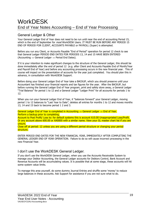### <span id="page-18-0"></span>General Ledger & Other

Your General Ledger End of Year does not need to be run until near the end of accounting Period 15, which is the end of September for *most* WorkDESK Users. IT MUST BE RUN BEFORE ANY PERIOD 15 END OF PERIOD FOR CLIENT, ACCOUNTS PAYABLE or PAYROLL (Super) is attempted.

Before you run any Client, or Accounts Payable "End of Period" operation for period 12 check to see that General Ledger PERIOD END DATES FOR PERIODS 13, 14 and 15 HAVE BEEN ENTERED (Accounting  $\Rightarrow$  General Ledger  $\Rightarrow$  Period End Dates).

If it is your intention to make significant changes to the structure of the General Ledger, this should be done immediately after the end of period 12 (e.g. after Client and Accounts Payable End of Month/Year and Payroll End of Year) and before any accounting processing occurs in the new financial year. This of course will impact on the presentation of accounts for the year just completed. You should plan this in advance, in consultation with WorkDESK Support.

Before doing your General Ledger End of Year take a BACKUP, which you should preserve until your Accountant has finished your financial reports and tax figures for the year. After the BACKUP, but before running the General Ledger End of Year program, print and safely store away, a General Ledger "Trial Balance" for period 1 to 12 and a General Ledger "Ledger Print" for all accounts for periods 1 to 12.

When you run your General Ledger End of Year, it "balances forward" your General Ledger, moving period 1 to 12 balances to "Last Year to Date", deletes all entries for months 1 to 12 and moves months 13, 14 and 15 back to become period 1 2 and 3.

General Ledger End of Year is completed in Accounting  $\Rightarrow$  General Ledger  $\Rightarrow$  End of Year. Perform a backup prior to completing.

Account to Post Profit/ Loss to: for default systems this is account 610.00 Unappropriated Loss/Profit. Or any account above 600.00 or XA0000 with a similar name. View your GL master chart list if you are unsure.

Close off at period: 12 unless you are using a different period structure or changing your period structure.

ENTER PERIOD END DATES FOR THE NEW FINANCIAL YEAR, IMMEDIATELY AFTER COMPLETING THE GENERAL LEDGER END OF YEAR OPERATION. Failure to do so will cause incorrect processing in the new Financial Year.

### <span id="page-18-1"></span>I don't use the WorkDESK General Ledger.

If you don't use the WorkDESK General Ledger, when you use the Accounts Receivable System to manage your Debtor Accounting, the General Ledger accounts for Debtors Control, Bank Account and Revenue Accounts will be accumulating values. It is possible that at some stage, these accounts will hit some system value limits.

To manage this area yourself, do some dummy Journal Entries and shuffle some 'money' to reduce large balances in these accounts. Ask Support for assistance if you are not sure what to do.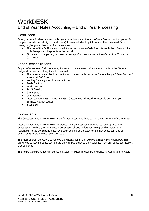## <span id="page-19-0"></span>Cash Book

After you have finalised and reconciled your bank balance at the end of your final accounting period for the year (usually period 12, for most Users) it is a good idea to print out and then delete all Cash books, to give you a clean start for the new year.

- The use of this facility is enhanced if you use only one Cash Book (for each Bank Account) for both Receipts and Payments in the period.
- At the end of the period, unpresented receipts/payments may be transferred to a 'follow on' Cash Book.

## <span id="page-19-1"></span>Other Reconciliations

As part of other Year End operations, it is usual to balance/reconcile some accounts in the General Ledger at or near statutory/financial year end:

- The balance in your bank account should be reconciled with the General Ledger "Bank Account" account at 30th June.
- **EXECTE Pay Clearing should reconcile to zero**
- **■** Trade Debtors
- Trade Creditors
- **•** PAYG Clearing
- GST Inputs
- GST Outputs
- **■** After reconciling GST Inputs and GST Outputs you will need to reconcile entries in your Business Activity Ledger
- 'Suspense'

### <span id="page-19-2"></span>**Consultants**

The Consultant End of Period/Year is performed automatically as part of the Client End of Period/Year.

After the Client End of Period/Year for period 12 is an ideal point at which to "tidy up" departed Consultants. Before you can delete a Consultant, all Job Orders remaining on the system that "belonged" to the Consultant must have been deleted or allocated to another Consultant and all outstanding Invoices must have been paid.

The most appropriate way is to remove the check against the "**Active Consultant**" check box. This allows you to leave a Consultant on the system, but excludes their statistics from any Consultant Report that you print.

The Active Consultant flag can be set in System  $\Rightarrow$  Miscellaneous Maintenance  $\Rightarrow$  Consultant  $\Rightarrow$  Alter.